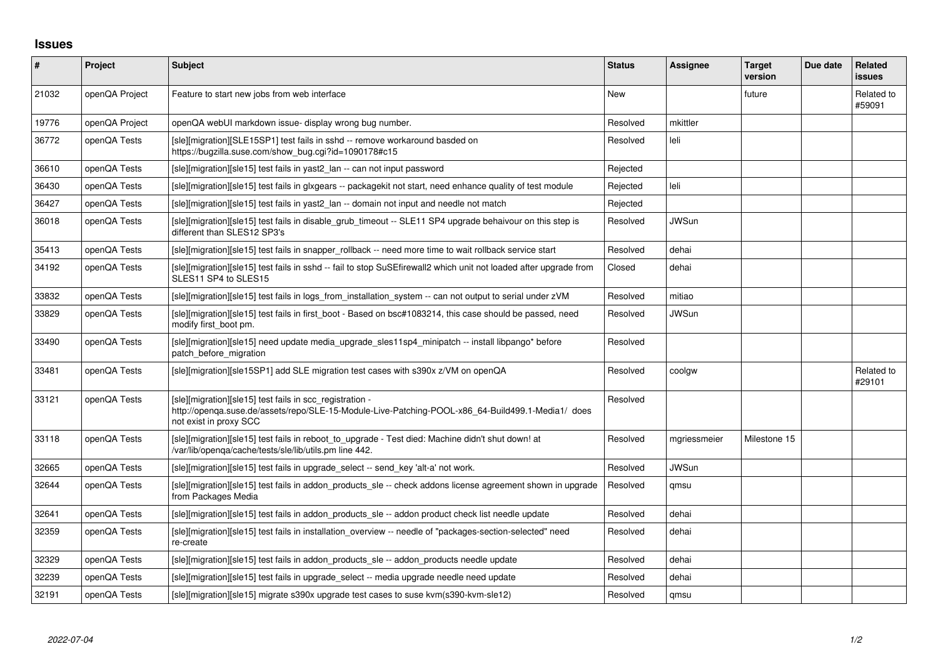## **Issues**

| $\pmb{\sharp}$ | Project        | Subject                                                                                                                                                                                 | <b>Status</b> | Assignee     | <b>Target</b><br>version | Due date | <b>Related</b><br>issues |
|----------------|----------------|-----------------------------------------------------------------------------------------------------------------------------------------------------------------------------------------|---------------|--------------|--------------------------|----------|--------------------------|
| 21032          | openQA Project | Feature to start new jobs from web interface                                                                                                                                            | <b>New</b>    |              | future                   |          | Related to<br>#59091     |
| 19776          | openQA Project | openQA webUI markdown issue- display wrong bug number.                                                                                                                                  | Resolved      | mkittler     |                          |          |                          |
| 36772          | openQA Tests   | [sle][migration][SLE15SP1] test fails in sshd -- remove workaround basded on<br>https://bugzilla.suse.com/show_bug.cgi?id=1090178#c15                                                   | Resolved      | leli         |                          |          |                          |
| 36610          | openQA Tests   | [sle][migration][sle15] test fails in yast2_lan -- can not input password                                                                                                               | Rejected      |              |                          |          |                          |
| 36430          | openQA Tests   | [sle][migration][sle15] test fails in glxgears -- packagekit not start, need enhance quality of test module                                                                             | Rejected      | leli         |                          |          |                          |
| 36427          | openQA Tests   | [sle][migration][sle15] test fails in yast2_lan -- domain not input and needle not match                                                                                                | Rejected      |              |                          |          |                          |
| 36018          | openQA Tests   | [sle][migration][sle15] test fails in disable_grub_timeout -- SLE11 SP4 upgrade behaivour on this step is<br>different than SLES12 SP3's                                                | Resolved      | <b>JWSun</b> |                          |          |                          |
| 35413          | openQA Tests   | [sle][migration][sle15] test fails in snapper_rollback -- need more time to wait rollback service start                                                                                 | Resolved      | dehai        |                          |          |                          |
| 34192          | openQA Tests   | [sle][migration][sle15] test fails in sshd -- fail to stop SuSEfirewall2 which unit not loaded after upgrade from<br>SLES11 SP4 to SLES15                                               | Closed        | dehai        |                          |          |                          |
| 33832          | openQA Tests   | [sle][migration][sle15] test fails in logs_from_installation_system -- can not output to serial under zVM                                                                               | Resolved      | mitiao       |                          |          |                          |
| 33829          | openQA Tests   | [sle][migration][sle15] test fails in first_boot - Based on bsc#1083214, this case should be passed, need<br>modify first_boot pm.                                                      | Resolved      | <b>JWSun</b> |                          |          |                          |
| 33490          | openQA Tests   | [sle][migration][sle15] need update media_upgrade_sles11sp4_minipatch -- install libpango* before<br>patch_before_migration                                                             | Resolved      |              |                          |          |                          |
| 33481          | openQA Tests   | [sle][migration][sle15SP1] add SLE migration test cases with s390x z/VM on openQA                                                                                                       | Resolved      | coolgw       |                          |          | Related to<br>#29101     |
| 33121          | openQA Tests   | [sle][migration][sle15] test fails in scc_registration -<br>http://openqa.suse.de/assets/repo/SLE-15-Module-Live-Patching-POOL-x86_64-Build499.1-Media1/ does<br>not exist in proxy SCC | Resolved      |              |                          |          |                          |
| 33118          | openQA Tests   | [sle][migration][sle15] test fails in reboot_to_upgrade - Test died: Machine didn't shut down! at<br>/var/lib/openqa/cache/tests/sle/lib/utils.pm line 442.                             | Resolved      | mgriessmeier | Milestone 15             |          |                          |
| 32665          | openQA Tests   | [sle][migration][sle15] test fails in upgrade_select -- send_key 'alt-a' not work.                                                                                                      | Resolved      | <b>JWSun</b> |                          |          |                          |
| 32644          | openQA Tests   | [sle][migration][sle15] test fails in addon_products_sle -- check addons license agreement shown in upgrade<br>from Packages Media                                                      | Resolved      | qmsu         |                          |          |                          |
| 32641          | openQA Tests   | [sle][migration][sle15] test fails in addon_products_sle -- addon product check list needle update                                                                                      | Resolved      | dehai        |                          |          |                          |
| 32359          | openQA Tests   | [sle][migration][sle15] test fails in installation_overview -- needle of "packages-section-selected" need<br>re-create                                                                  | Resolved      | dehai        |                          |          |                          |
| 32329          | openQA Tests   | [sle][migration][sle15] test fails in addon products sle -- addon products needle update                                                                                                | Resolved      | dehai        |                          |          |                          |
| 32239          | openQA Tests   | [sle][migration][sle15] test fails in upgrade_select -- media upgrade needle need update                                                                                                | Resolved      | dehai        |                          |          |                          |
| 32191          | openQA Tests   | [sle][migration][sle15] migrate s390x upgrade test cases to suse kvm(s390-kvm-sle12)                                                                                                    | Resolved      | qmsu         |                          |          |                          |